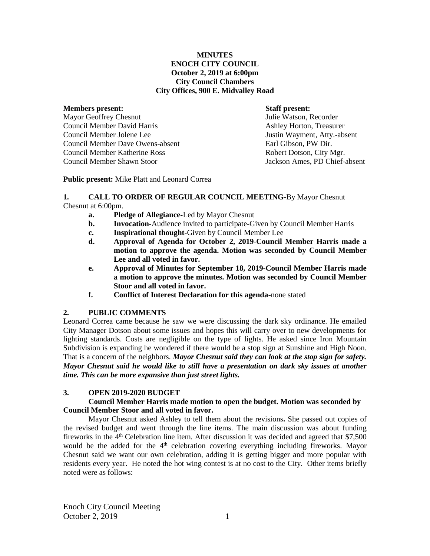# **MINUTES ENOCH CITY COUNCIL October 2, 2019 at 6:00pm City Council Chambers City Offices, 900 E. Midvalley Road**

#### **Members present: Staff present:**

Mayor Geoffrey Chesnut Tulie Watson, Recorder Council Member David Harris **Ashley Horton, Treasurer** Ashley Horton, Treasurer Council Member Jolene Lee Justin Wayment, Atty.-absent Council Member Dave Owens-absent Earl Gibson, PW Dir. Council Member Katherine Ross Robert Dotson, City Mgr. Council Member Shawn Stoor Jackson Ames, PD Chief-absent

**Public present:** Mike Platt and Leonard Correa

# **1. CALL TO ORDER OF REGULAR COUNCIL MEETING-**By Mayor Chesnut Chesnut at 6:00pm.

- **a. Pledge of Allegiance-**Led by Mayor Chesnut
- **b. Invocation-**Audience invited to participate-Given by Council Member Harris
- **c. Inspirational thought-**Given by Council Member Lee
- **d. Approval of Agenda for October 2, 2019-Council Member Harris made a motion to approve the agenda. Motion was seconded by Council Member Lee and all voted in favor.**
- **e. Approval of Minutes for September 18, 2019-Council Member Harris made a motion to approve the minutes. Motion was seconded by Council Member Stoor and all voted in favor.**
- **f. Conflict of Interest Declaration for this agenda-**none stated

# **2. PUBLIC COMMENTS**

Leonard Correa came because he saw we were discussing the dark sky ordinance. He emailed City Manager Dotson about some issues and hopes this will carry over to new developments for lighting standards. Costs are negligible on the type of lights. He asked since Iron Mountain Subdivision is expanding he wondered if there would be a stop sign at Sunshine and High Noon. That is a concern of the neighbors. *Mayor Chesnut said they can look at the stop sign for safety. Mayor Chesnut said he would like to still have a presentation on dark sky issues at another time. This can be more expansive than just street lights.* 

# **3. OPEN 2019-2020 BUDGET**

# **Council Member Harris made motion to open the budget. Motion was seconded by Council Member Stoor and all voted in favor.**

Mayor Chesnut asked Ashley to tell them about the revisions**.** She passed out copies of the revised budget and went through the line items. The main discussion was about funding fireworks in the  $4<sup>th</sup>$  Celebration line item. After discussion it was decided and agreed that \$7,500 would be the added for the 4<sup>th</sup> celebration covering everything including fireworks. Mayor Chesnut said we want our own celebration, adding it is getting bigger and more popular with residents every year. He noted the hot wing contest is at no cost to the City.Other items briefly noted were as follows:

Enoch City Council Meeting October 2, 2019 1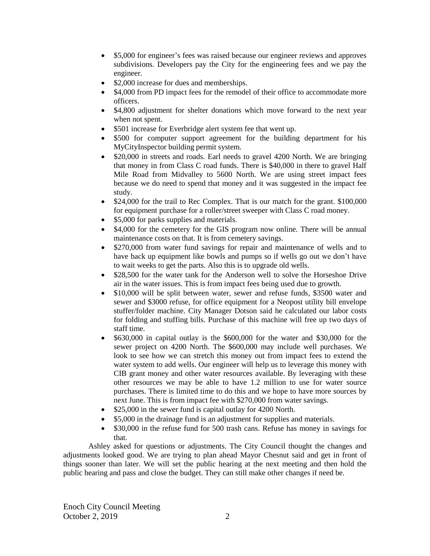- \$5,000 for engineer's fees was raised because our engineer reviews and approves subdivisions. Developers pay the City for the engineering fees and we pay the engineer.
- \$2,000 increase for dues and memberships.
- \$4,000 from PD impact fees for the remodel of their office to accommodate more officers.
- \$4,800 adjustment for shelter donations which move forward to the next year when not spent.
- \$501 increase for Everbridge alert system fee that went up.
- \$500 for computer support agreement for the building department for his MyCityInspector building permit system.
- \$20,000 in streets and roads. Earl needs to gravel 4200 North. We are bringing that money in from Class C road funds. There is \$40,000 in there to gravel Half Mile Road from Midvalley to 5600 North. We are using street impact fees because we do need to spend that money and it was suggested in the impact fee study.
- \$24,000 for the trail to Rec Complex. That is our match for the grant. \$100,000 for equipment purchase for a roller/street sweeper with Class C road money.
- \$5,000 for parks supplies and materials.
- \$4,000 for the cemetery for the GIS program now online. There will be annual maintenance costs on that. It is from cemetery savings.
- \$270,000 from water fund savings for repair and maintenance of wells and to have back up equipment like bowls and pumps so if wells go out we don't have to wait weeks to get the parts. Also this is to upgrade old wells.
- \$28,500 for the water tank for the Anderson well to solve the Horseshoe Drive air in the water issues. This is from impact fees being used due to growth.
- \$10,000 will be split between water, sewer and refuse funds, \$3500 water and sewer and \$3000 refuse, for office equipment for a Neopost utility bill envelope stuffer/folder machine. City Manager Dotson said he calculated our labor costs for folding and stuffing bills. Purchase of this machine will free up two days of staff time.
- \$630,000 in capital outlay is the \$600,000 for the water and \$30,000 for the sewer project on 4200 North. The \$600,000 may include well purchases. We look to see how we can stretch this money out from impact fees to extend the water system to add wells. Our engineer will help us to leverage this money with CIB grant money and other water resources available. By leveraging with these other resources we may be able to have 1.2 million to use for water source purchases. There is limited time to do this and we hope to have more sources by next June. This is from impact fee with \$270,000 from water savings.
- \$25,000 in the sewer fund is capital outlay for 4200 North.
- \$5,000 in the drainage fund is an adjustment for supplies and materials.
- \$30,000 in the refuse fund for 500 trash cans. Refuse has money in savings for that.

Ashley asked for questions or adjustments. The City Council thought the changes and adjustments looked good. We are trying to plan ahead Mayor Chesnut said and get in front of things sooner than later. We will set the public hearing at the next meeting and then hold the public hearing and pass and close the budget. They can still make other changes if need be.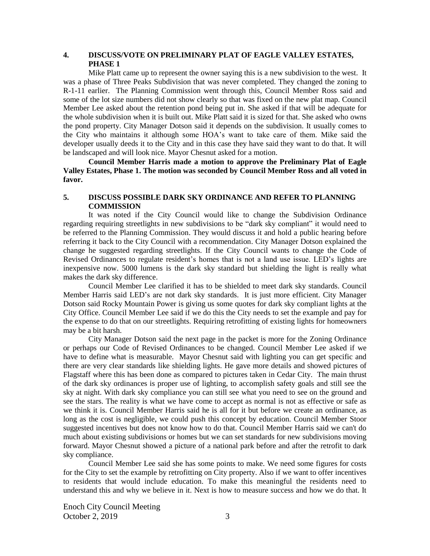# **4. DISCUSS/VOTE ON PRELIMINARY PLAT OF EAGLE VALLEY ESTATES, PHASE 1**

Mike Platt came up to represent the owner saying this is a new subdivision to the west. It was a phase of Three Peaks Subdivision that was never completed. They changed the zoning to R-1-11 earlier. The Planning Commission went through this, Council Member Ross said and some of the lot size numbers did not show clearly so that was fixed on the new plat map. Council Member Lee asked about the retention pond being put in. She asked if that will be adequate for the whole subdivision when it is built out. Mike Platt said it is sized for that. She asked who owns the pond property. City Manager Dotson said it depends on the subdivision. It usually comes to the City who maintains it although some HOA's want to take care of them. Mike said the developer usually deeds it to the City and in this case they have said they want to do that. It will be landscaped and will look nice. Mayor Chesnut asked for a motion.

**Council Member Harris made a motion to approve the Preliminary Plat of Eagle Valley Estates, Phase 1. The motion was seconded by Council Member Ross and all voted in favor.**

## **5. DISCUSS POSSIBLE DARK SKY ORDINANCE AND REFER TO PLANNING COMMISSION**

It was noted if the City Council would like to change the Subdivision Ordinance regarding requiring streetlights in new subdivisions to be "dark sky compliant" it would need to be referred to the Planning Commission. They would discuss it and hold a public hearing before referring it back to the City Council with a recommendation. City Manager Dotson explained the change he suggested regarding streetlights. If the City Council wants to change the Code of Revised Ordinances to regulate resident's homes that is not a land use issue. LED's lights are inexpensive now. 5000 lumens is the dark sky standard but shielding the light is really what makes the dark sky difference.

Council Member Lee clarified it has to be shielded to meet dark sky standards. Council Member Harris said LED's are not dark sky standards. It is just more efficient. City Manager Dotson said Rocky Mountain Power is giving us some quotes for dark sky compliant lights at the City Office. Council Member Lee said if we do this the City needs to set the example and pay for the expense to do that on our streetlights. Requiring retrofitting of existing lights for homeowners may be a bit harsh.

City Manager Dotson said the next page in the packet is more for the Zoning Ordinance or perhaps our Code of Revised Ordinances to be changed. Council Member Lee asked if we have to define what is measurable. Mayor Chesnut said with lighting you can get specific and there are very clear standards like shielding lights. He gave more details and showed pictures of Flagstaff where this has been done as compared to pictures taken in Cedar City. The main thrust of the dark sky ordinances is proper use of lighting, to accomplish safety goals and still see the sky at night. With dark sky compliance you can still see what you need to see on the ground and see the stars. The reality is what we have come to accept as normal is not as effective or safe as we think it is. Council Member Harris said he is all for it but before we create an ordinance, as long as the cost is negligible, we could push this concept by education. Council Member Stoor suggested incentives but does not know how to do that. Council Member Harris said we can't do much about existing subdivisions or homes but we can set standards for new subdivisions moving forward. Mayor Chesnut showed a picture of a national park before and after the retrofit to dark sky compliance.

Council Member Lee said she has some points to make. We need some figures for costs for the City to set the example by retrofitting on City property. Also if we want to offer incentives to residents that would include education. To make this meaningful the residents need to understand this and why we believe in it. Next is how to measure success and how we do that. It

Enoch City Council Meeting October 2, 2019 3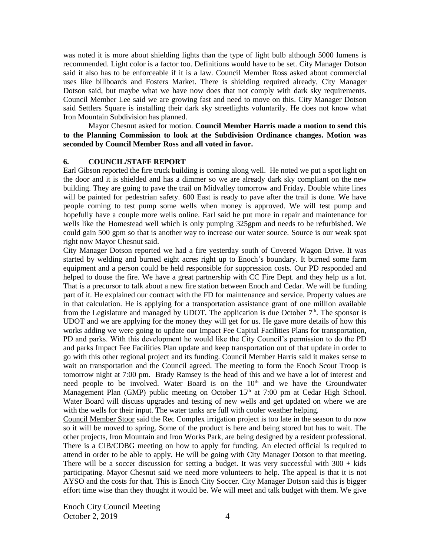was noted it is more about shielding lights than the type of light bulb although 5000 lumens is recommended. Light color is a factor too. Definitions would have to be set. City Manager Dotson said it also has to be enforceable if it is a law. Council Member Ross asked about commercial uses like billboards and Fosters Market. There is shielding required already, City Manager Dotson said, but maybe what we have now does that not comply with dark sky requirements. Council Member Lee said we are growing fast and need to move on this. City Manager Dotson said Settlers Square is installing their dark sky streetlights voluntarily. He does not know what Iron Mountain Subdivision has planned.

Mayor Chesnut asked for motion. **Council Member Harris made a motion to send this to the Planning Commission to look at the Subdivision Ordinance changes. Motion was seconded by Council Member Ross and all voted in favor.** 

## **6. COUNCIL/STAFF REPORT**

Earl Gibson reported the fire truck building is coming along well. He noted we put a spot light on the door and it is shielded and has a dimmer so we are already dark sky compliant on the new building. They are going to pave the trail on Midvalley tomorrow and Friday. Double white lines will be painted for pedestrian safety. 600 East is ready to pave after the trail is done. We have people coming to test pump some wells when money is approved. We will test pump and hopefully have a couple more wells online. Earl said he put more in repair and maintenance for wells like the Homestead well which is only pumping 325gpm and needs to be refurbished. We could gain 500 gpm so that is another way to increase our water source. Source is our weak spot right now Mayor Chesnut said.

City Manager Dotson reported we had a fire yesterday south of Covered Wagon Drive. It was started by welding and burned eight acres right up to Enoch's boundary. It burned some farm equipment and a person could be held responsible for suppression costs. Our PD responded and helped to douse the fire. We have a great partnership with CC Fire Dept. and they help us a lot. That is a precursor to talk about a new fire station between Enoch and Cedar. We will be funding part of it. He explained our contract with the FD for maintenance and service. Property values are in that calculation. He is applying for a transportation assistance grant of one million available from the Legislature and managed by UDOT. The application is due October  $7<sup>th</sup>$ . The sponsor is UDOT and we are applying for the money they will get for us. He gave more details of how this works adding we were going to update our Impact Fee Capital Facilities Plans for transportation, PD and parks. With this development he would like the City Council's permission to do the PD and parks Impact Fee Facilities Plan update and keep transportation out of that update in order to go with this other regional project and its funding. Council Member Harris said it makes sense to wait on transportation and the Council agreed. The meeting to form the Enoch Scout Troop is tomorrow night at 7:00 pm. Brady Ramsey is the head of this and we have a lot of interest and need people to be involved. Water Board is on the 10<sup>th</sup> and we have the Groundwater Management Plan (GMP) public meeting on October  $15<sup>th</sup>$  at 7:00 pm at Cedar High School. Water Board will discuss upgrades and testing of new wells and get updated on where we are with the wells for their input. The water tanks are full with cooler weather helping.

Council Member Stoor said the Rec Complex irrigation project is too late in the season to do now so it will be moved to spring. Some of the product is here and being stored but has to wait. The other projects, Iron Mountain and Iron Works Park, are being designed by a resident professional. There is a CIB/CDBG meeting on how to apply for funding. An elected official is required to attend in order to be able to apply. He will be going with City Manager Dotson to that meeting. There will be a soccer discussion for setting a budget. It was very successful with  $300 +$  kids participating. Mayor Chesnut said we need more volunteers to help. The appeal is that it is not AYSO and the costs for that. This is Enoch City Soccer. City Manager Dotson said this is bigger effort time wise than they thought it would be. We will meet and talk budget with them. We give

Enoch City Council Meeting October 2, 2019 4